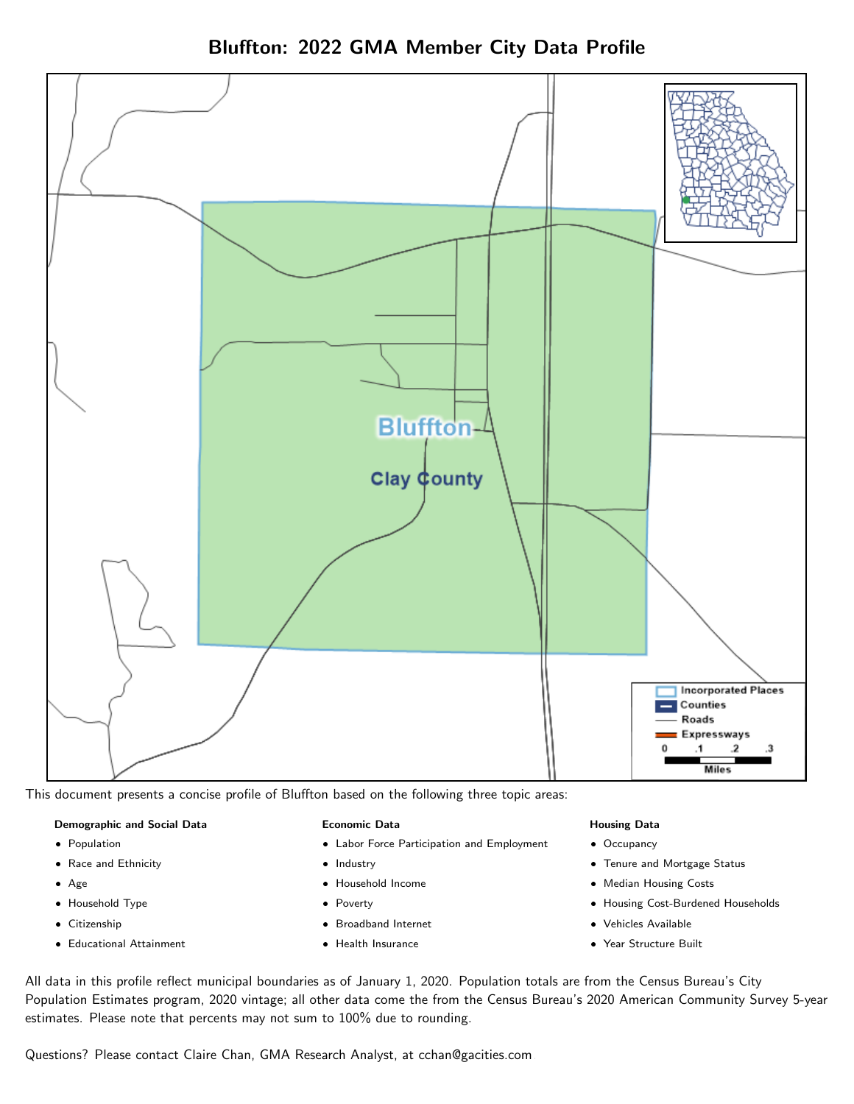Bluffton: 2022 GMA Member City Data Profile



This document presents a concise profile of Bluffton based on the following three topic areas:

#### Demographic and Social Data

- **•** Population
- Race and Ethnicity
- Age
- Household Type
- **Citizenship**
- Educational Attainment

#### Economic Data

- Labor Force Participation and Employment
- Industry
- Household Income
- Poverty
- Broadband Internet
- Health Insurance

#### Housing Data

- Occupancy
- Tenure and Mortgage Status
- Median Housing Costs
- Housing Cost-Burdened Households
- Vehicles Available
- Year Structure Built

All data in this profile reflect municipal boundaries as of January 1, 2020. Population totals are from the Census Bureau's City Population Estimates program, 2020 vintage; all other data come the from the Census Bureau's 2020 American Community Survey 5-year estimates. Please note that percents may not sum to 100% due to rounding.

Questions? Please contact Claire Chan, GMA Research Analyst, at [cchan@gacities.com.](mailto:cchan@gacities.com)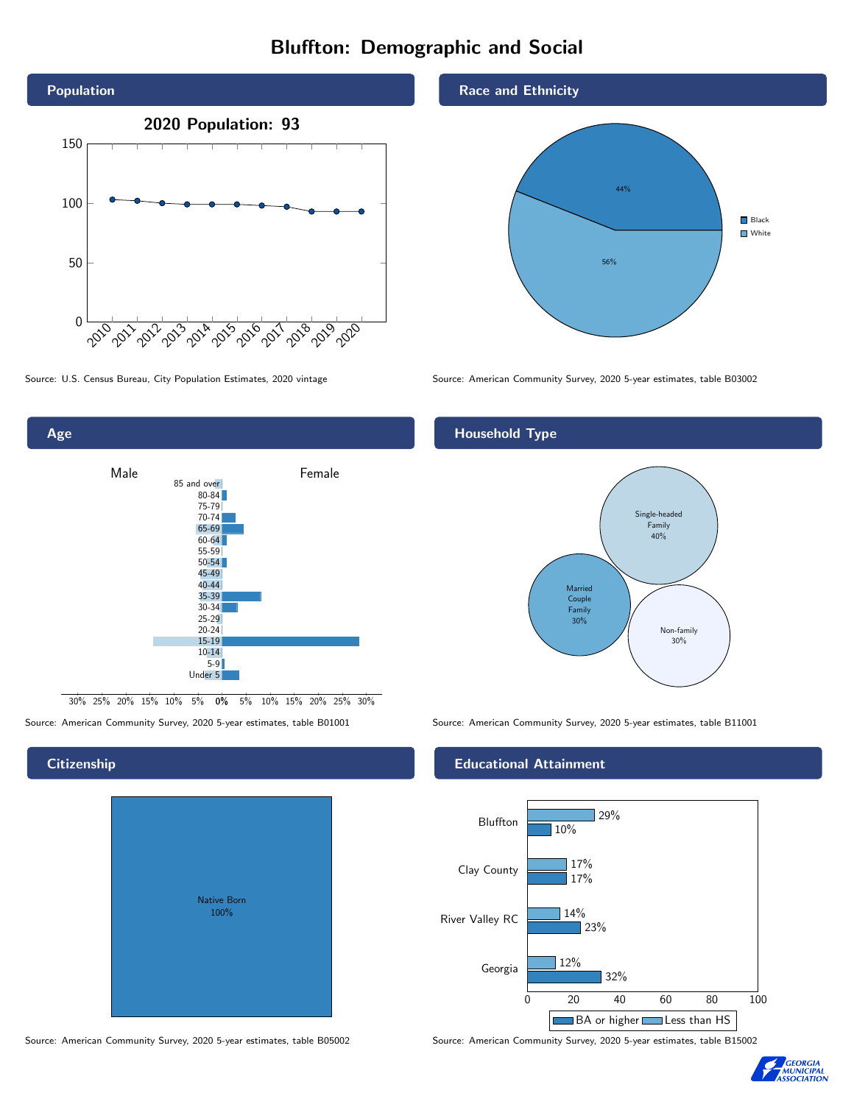## Bluffton: Demographic and Social





0% 5% 10% 15% 20% 25% 30% 30% 25% 20% 15% 10% 5%

**Citizenship** 

Native Born 100%

#### Race and Ethnicity



Source: U.S. Census Bureau, City Population Estimates, 2020 vintage Source: American Community Survey, 2020 5-year estimates, table B03002

### Household Type



Source: American Community Survey, 2020 5-year estimates, table B01001 Source: American Community Survey, 2020 5-year estimates, table B11001

#### Educational Attainment



Source: American Community Survey, 2020 5-year estimates, table B05002 Source: American Community Survey, 2020 5-year estimates, table B15002

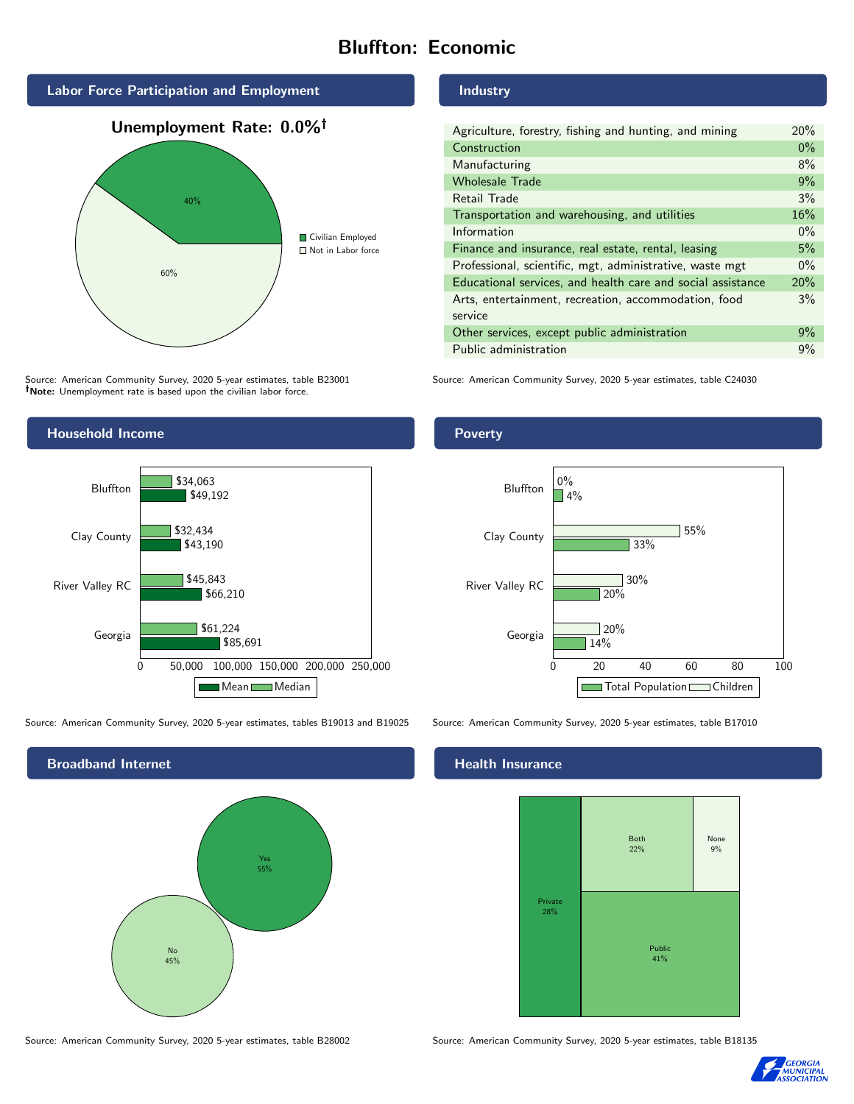# Bluffton: Economic



Source: American Community Survey, 2020 5-year estimates, table B23001 Note: Unemployment rate is based upon the civilian labor force.



0 50,000 100,000 150,000 200,000 250,000

Mean Median

\$85,691

\$66,210

\$45,843

\$61,224

#### Industry

| Agriculture, forestry, fishing and hunting, and mining      | 20%   |
|-------------------------------------------------------------|-------|
| Construction                                                | $0\%$ |
| Manufacturing                                               | 8%    |
| <b>Wholesale Trade</b>                                      | 9%    |
| Retail Trade                                                | 3%    |
| Transportation and warehousing, and utilities               | 16%   |
| Information                                                 | $0\%$ |
| Finance and insurance, real estate, rental, leasing         | 5%    |
| Professional, scientific, mgt, administrative, waste mgt    | $0\%$ |
| Educational services, and health care and social assistance | 20%   |
| Arts, entertainment, recreation, accommodation, food        | 3%    |
| service                                                     |       |
| Other services, except public administration                | 9%    |
| Public administration                                       | 9%    |

Source: American Community Survey, 2020 5-year estimates, table C24030



Source: American Community Survey, 2020 5-year estimates, tables B19013 and B19025 Source: American Community Survey, 2020 5-year estimates, table B17010

Georgia

River Valley RC



### **Health Insurance**



Source: American Community Survey, 2020 5-year estimates, table B28002 Source: American Community Survey, 2020 5-year estimates, table B18135